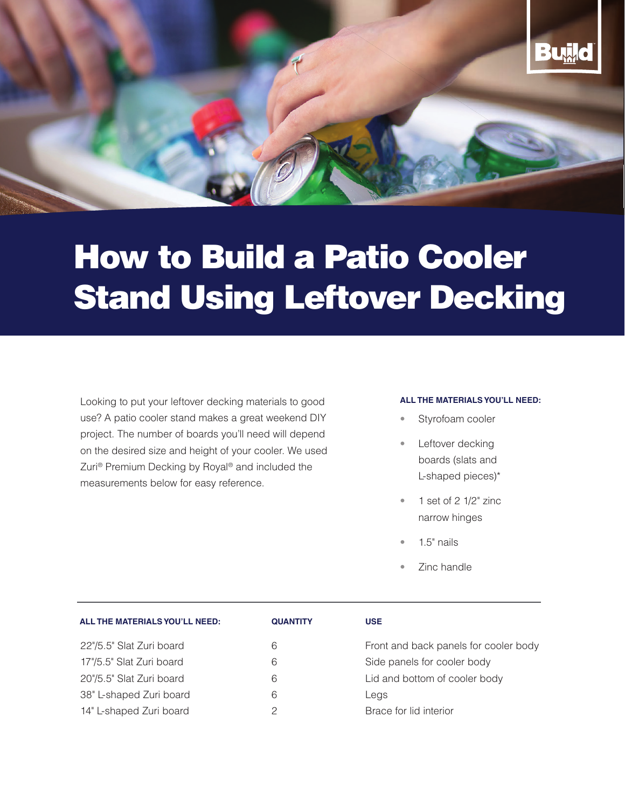

# How to Build a Patio Cooler Stand Using Leftover Decking

Looking to put your leftover decking materials to good use? A patio cooler stand makes a great weekend DIY project. The number of boards you'll need will depend on the desired size and height of your cooler. We used Zuri® Premium Decking by Royal® and included the measurements below for easy reference.

#### **ALL THE MATERIALS YOU'LL NEED:**

- Styrofoam cooler
- Leftover decking boards (slats and L-shaped pieces)\*
- 1 set of 2 1/2" zinc narrow hinges
- $1.5"$  nails
- Zinc handle

| ALL THE MATERIALS YOU'LL NEED: | <b>QUANTITY</b> | <b>USE</b>                            |
|--------------------------------|-----------------|---------------------------------------|
| 22"/5.5" Slat Zuri board       | 6               | Front and back panels for cooler body |
| 17"/5.5" Slat Zuri board       | 6               | Side panels for cooler body           |
| 20"/5.5" Slat Zuri board       | 6               | Lid and bottom of cooler body         |
| 38" L-shaped Zuri board        | 6               | Legs                                  |
| 14" L-shaped Zuri board        |                 | Brace for lid interior                |